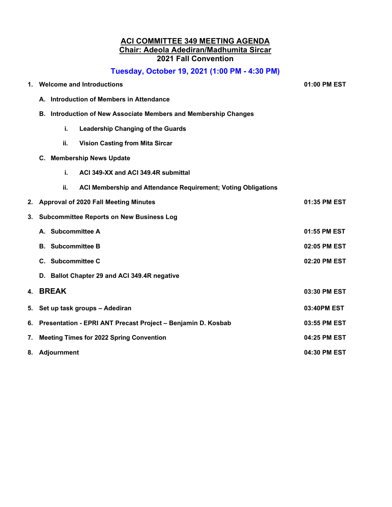### **ACI COMMITTEE 349 MEETING AGENDA Chair: Adeola Adediran/Madhumita Sircar 2021 Fall Convention**

# **Tuesday, October 19, 2021 (1:00 PM - 4:30 PM)**

| 1. | <b>Welcome and Introductions</b>                                   | 01:00 PM EST                                                  |              |  |
|----|--------------------------------------------------------------------|---------------------------------------------------------------|--------------|--|
|    | <b>Introduction of Members in Attendance</b><br>А.                 |                                                               |              |  |
|    | Introduction of New Associate Members and Membership Changes<br>В. |                                                               |              |  |
|    | i.                                                                 | <b>Leadership Changing of the Guards</b>                      |              |  |
|    | ii.                                                                | <b>Vision Casting from Mita Sircar</b>                        |              |  |
|    | <b>Membership News Update</b><br>C.                                |                                                               |              |  |
|    | i.                                                                 | ACI 349-XX and ACI 349.4R submittal                           |              |  |
|    | ii.                                                                | ACI Membership and Attendance Requirement; Voting Obligations |              |  |
| 2. | <b>Approval of 2020 Fall Meeting Minutes</b>                       |                                                               | 01:35 PM EST |  |
| 3. | <b>Subcommittee Reports on New Business Log</b>                    |                                                               |              |  |
|    | A. Subcommittee A                                                  |                                                               | 01:55 PM EST |  |
|    | <b>B.</b> Subcommittee B                                           |                                                               | 02:05 PM EST |  |
|    | C. Subcommittee C                                                  |                                                               | 02:20 PM EST |  |
|    | D. Ballot Chapter 29 and ACI 349.4R negative                       |                                                               |              |  |
| 4. | <b>BREAK</b>                                                       |                                                               | 03:30 PM EST |  |
| 5. | Set up task groups - Adediran                                      |                                                               | 03:40PM EST  |  |
| 6. | Presentation - EPRI ANT Precast Project - Benjamin D. Kosbab       |                                                               | 03:55 PM EST |  |
| 7. | <b>Meeting Times for 2022 Spring Convention</b>                    |                                                               | 04:25 PM EST |  |
| 8. | Adjournment                                                        |                                                               | 04:30 PM EST |  |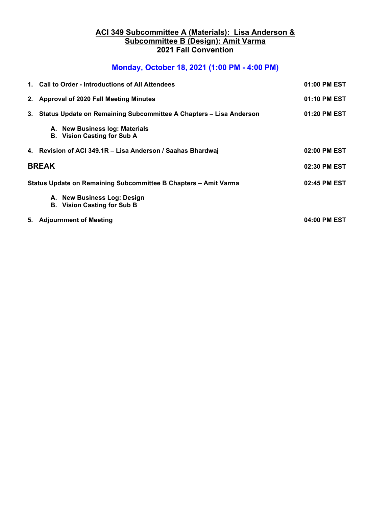## **ACI 349 Subcommittee A (Materials): Lisa Anderson & Subcommittee B (Design): Amit Varma 2021 Fall Convention**

# **Monday, October 18, 2021 (1:00 PM - 4:00 PM)**

|                                                                 | 1. Call to Order - Introductions of All Attendees                     | 01:00 PM EST |
|-----------------------------------------------------------------|-----------------------------------------------------------------------|--------------|
|                                                                 | 2. Approval of 2020 Fall Meeting Minutes                              | 01:10 PM EST |
|                                                                 | 3. Status Update on Remaining Subcommittee A Chapters - Lisa Anderson | 01:20 PM EST |
|                                                                 | A. New Business log: Materials<br><b>B.</b> Vision Casting for Sub A  |              |
|                                                                 | 4. Revision of ACI 349.1R - Lisa Anderson / Saahas Bhardwaj           | 02:00 PM EST |
| <b>BREAK</b>                                                    |                                                                       | 02:30 PM EST |
| Status Update on Remaining Subcommittee B Chapters - Amit Varma |                                                                       | 02:45 PM EST |
|                                                                 | A. New Business Log: Design<br><b>B.</b> Vision Casting for Sub B     |              |
|                                                                 | 5. Adjournment of Meeting                                             | 04:00 PM EST |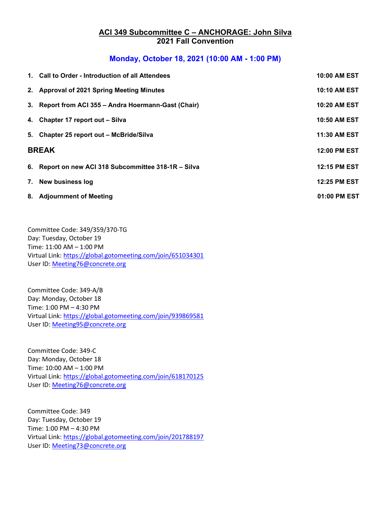### **ACI 349 Subcommittee C – ANCHORAGE: John Silva 2021 Fall Convention**

## **Monday, October 18, 2021 (10:00 AM - 1:00 PM)**

|              | 1. Call to Order - Introduction of all Attendees     | 10:00 AM EST        |
|--------------|------------------------------------------------------|---------------------|
|              | 2. Approval of 2021 Spring Meeting Minutes           | <b>10:10 AM EST</b> |
|              | 3. Report from ACI 355 - Andra Hoermann-Gast (Chair) | 10:20 AM EST        |
|              | 4. Chapter 17 report out - Silva                     | <b>10:50 AM EST</b> |
|              | 5. Chapter 25 report out - McBride/Silva             | 11:30 AM EST        |
| <b>BREAK</b> |                                                      | 12:00 PM EST        |
|              | 6. Report on new ACI 318 Subcommittee 318-1R - Silva | 12:15 PM EST        |
|              | 7. New business log                                  | <b>12:25 PM EST</b> |
|              | 8. Adjournment of Meeting                            | 01:00 PM EST        |

Committee Code: 349/359/370-TG Day: Tuesday, October 19 Time: 11:00 AM – 1:00 PM Virtual Link:<https://global.gotomeeting.com/join/651034301> User ID: [Meeting76@concrete.org](mailto:Meeting76@concrete.org)

Committee Code: 349-A/B Day: Monday, October 18 Time: 1:00 PM – 4:30 PM Virtual Link: [https://global.gotomeeting.com/join/939869581](https://nam10.safelinks.protection.outlook.com/?url=https%3A%2F%2Fglobal.gotomeeting.com%2Fjoin%2F939869581&data=04%7C01%7Clmanders%40bechtel.com%7C69dfc976aaa841272df608d989a4309d%7C22d635a339304779a82d155e2d13b75e%7C0%7C0%7C637692160748067322%7CUnknown%7CTWFpbGZsb3d8eyJWIjoiMC4wLjAwMDAiLCJQIjoiV2luMzIiLCJBTiI6Ik1haWwiLCJXVCI6Mn0%3D%7C1000&sdata=xB4v%2FzH2L6oXylcQe6nV99fc0Na9Zn2z%2Fh5RwghMppQ%3D&reserved=0) User ID: [Meeting95@concrete.org](mailto:Meeting95@concrete.org)

Committee Code: 349-C Day: Monday, October 18 Time: 10:00 AM – 1:00 PM Virtual Link: [https://global.gotomeeting.com/join/618170125](https://nam10.safelinks.protection.outlook.com/?url=https%3A%2F%2Fglobal.gotomeeting.com%2Fjoin%2F618170125&data=04%7C01%7Cakadedir%40bechtel.com%7Cdad78ac9e474456cac2108d98f333d6a%7C22d635a339304779a82d155e2d13b75e%7C0%7C0%7C637698272670650305%7CUnknown%7CTWFpbGZsb3d8eyJWIjoiMC4wLjAwMDAiLCJQIjoiV2luMzIiLCJBTiI6Ik1haWwiLCJXVCI6Mn0%3D%7C1000&sdata=aw3WZTV1wPByyR44aOYKH2Nh8coVkvgeVffWQO0XIMM%3D&reserved=0) User ID: [Meeting76@concrete.org](mailto:Meeting76@concrete.org)

Committee Code: 349 Day: Tuesday, October 19 Time: 1:00 PM – 4:30 PM Virtual Link:<https://global.gotomeeting.com/join/201788197> User ID: [Meeting73@concrete.org](mailto:Meeting73@concrete.org)